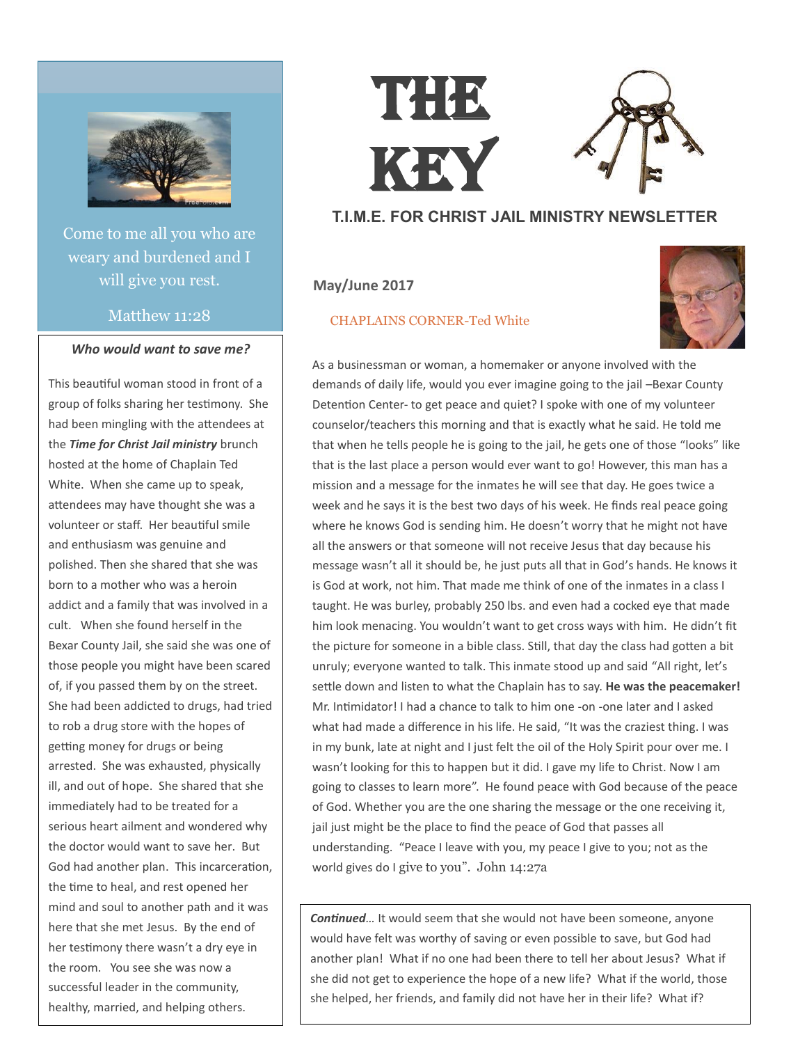

Come to me all you who are weary and burdened and I will give you rest.

## Matthew 11:28

### *Who would want to save me?*

This beautiful woman stood in front of a group of folks sharing her testimony. She had been mingling with the attendees at the *Time for Christ Jail ministry* brunch hosted at the home of Chaplain Ted White. When she came up to speak, attendees may have thought she was a volunteer or staff. Her beautiful smile and enthusiasm was genuine and polished. Then she shared that she was born to a mother who was a heroin addict and a family that was involved in a cult. When she found herself in the Bexar County Jail, she said she was one of those people you might have been scared of, if you passed them by on the street. She had been addicted to drugs, had tried to rob a drug store with the hopes of getting money for drugs or being arrested. She was exhausted, physically ill, and out of hope. She shared that she immediately had to be treated for a serious heart ailment and wondered why the doctor would want to save her. But God had another plan. This incarceration, the time to heal, and rest opened her mind and soul to another path and it was here that she met Jesus. By the end of her testimony there wasn't a dry eye in the room. You see she was now a successful leader in the community, healthy, married, and helping others.

# THE KEY

# **T.I.M.E. FOR CHRIST JAIL MINISTRY NEWSLETTER**

## **May/June 2017**

#### CHAPLAINS CORNER-Ted White



As a businessman or woman, a homemaker or anyone involved with the demands of daily life, would you ever imagine going to the jail –Bexar County Detention Center- to get peace and quiet? I spoke with one of my volunteer counselor/teachers this morning and that is exactly what he said. He told me that when he tells people he is going to the jail, he gets one of those "looks" like that is the last place a person would ever want to go! However, this man has a mission and a message for the inmates he will see that day. He goes twice a week and he says it is the best two days of his week. He finds real peace going where he knows God is sending him. He doesn't worry that he might not have all the answers or that someone will not receive Jesus that day because his message wasn't all it should be, he just puts all that in God's hands. He knows it is God at work, not him. That made me think of one of the inmates in a class I taught. He was burley, probably 250 lbs. and even had a cocked eye that made him look menacing. You wouldn't want to get cross ways with him. He didn't fit the picture for someone in a bible class. Still, that day the class had gotten a bit unruly; everyone wanted to talk. This inmate stood up and said "All right, let's settle down and listen to what the Chaplain has to say. **He was the peacemaker!** Mr. Intimidator! I had a chance to talk to him one -on -one later and I asked what had made a difference in his life. He said, "It was the craziest thing. I was in my bunk, late at night and I just felt the oil of the Holy Spirit pour over me. I wasn't looking for this to happen but it did. I gave my life to Christ. Now I am going to classes to learn more". He found peace with God because of the peace of God. Whether you are the one sharing the message or the one receiving it, jail just might be the place to find the peace of God that passes all understanding. "Peace I leave with you, my peace I give to you; not as the world gives do I give to you". John 14:27a

*Continued…* It would seem that she would not have been someone, anyone would have felt was worthy of saving or even possible to save, but God had another plan! What if no one had been there to tell her about Jesus? What if she did not get to experience the hope of a new life? What if the world, those she helped, her friends, and family did not have her in their life? What if?